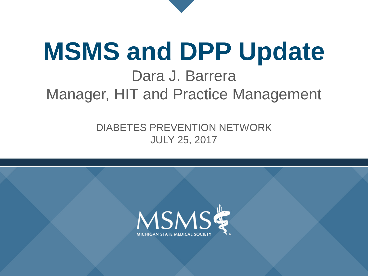# **MSMS and DPP Update** Dara J. Barrera Manager, HIT and Practice Management

DIABETES PREVENTION NETWORK JULY 25, 2017

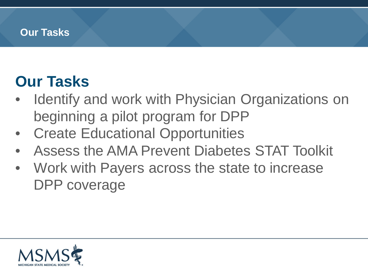#### **Our Tasks**

### **Our Tasks**

- Identify and work with Physician Organizations on beginning a pilot program for DPP
- **Create Educational Opportunities**
- Assess the AMA Prevent Diabetes STAT Toolkit
- Work with Payers across the state to increase DPP coverage

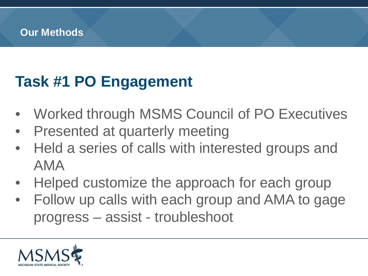# **Task #1 PO Engagement**

- Worked through MSMS Council of PO Executives
- **Presented at quarterly meeting**
- Held a series of calls with interested groups and AMA
- Helped customize the approach for each group
- Follow up calls with each group and AMA to gage progress – assist - troubleshoot

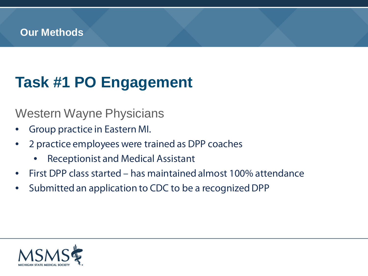# **Task #1 PO Engagement**

#### Western Wayne Physicians

- Group practice in Eastern MI.
- 2 practice employees were trained as DPP coaches
	- Receptionist and Medical Assistant
- First DPP class started has maintained almost 100% attendance
- Submitted an application to CDC to be a recognized DPP

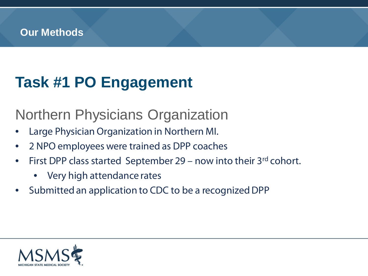# **Task #1 PO Engagement**

Northern Physicians Organization

- Large Physician Organization in Northern MI.
- 2 NPO employees were trained as DPP coaches
- First DPP class started September 29 now into their 3rd cohort.
	- Very high attendance rates
- Submitted an application to CDC to be a recognized DPP

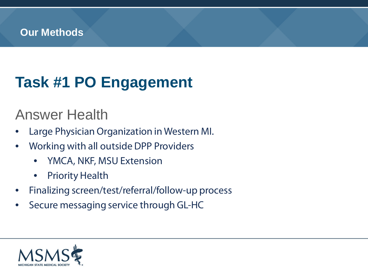# **Task #1 PO Engagement**

### Answer Health

- Large Physician Organization in Western MI.
- Working with all outside DPP Providers
	- YMCA, NKF, MSU Extension
	- **Priority Health**
- Finalizing screen/test/referral/follow-up process
- Secure messaging service through GL-HC

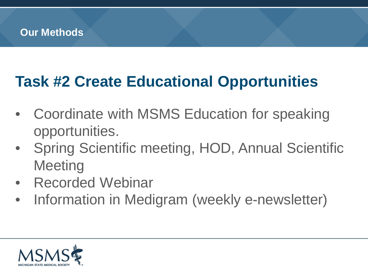### **Task #2 Create Educational Opportunities**

- Coordinate with MSMS Education for speaking opportunities.
- Spring Scientific meeting, HOD, Annual Scientific **Meeting**
- Recorded Webinar
- Information in Medigram (weekly e-newsletter)

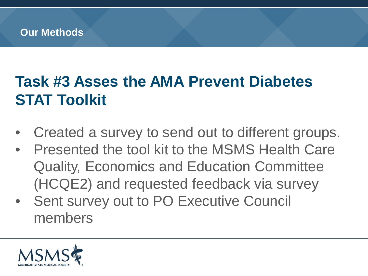# **Task #3 Asses the AMA Prevent Diabetes STAT Toolkit**

- Created a survey to send out to different groups.
- Presented the tool kit to the MSMS Health Care Quality, Economics and Education Committee (HCQE2) and requested feedback via survey
- Sent survey out to PO Executive Council members

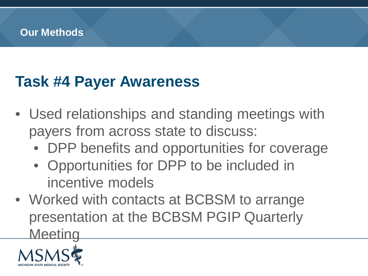### **Task #4 Payer Awareness**

- Used relationships and standing meetings with payers from across state to discuss:
	- DPP benefits and opportunities for coverage
	- Opportunities for DPP to be included in incentive models
- Worked with contacts at BCBSM to arrange presentation at the BCBSM PGIP Quarterly **Meeting**

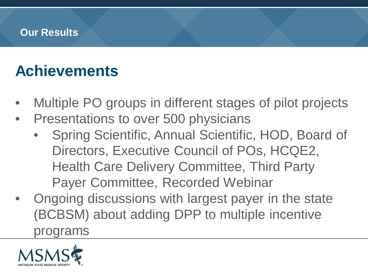#### **Our Results**

### **Achievements**

- Multiple PO groups in different stages of pilot projects
- Presentations to over 500 physicians
	- Spring Scientific, Annual Scientific, HOD, Board of Directors, Executive Council of POs, HCQE2, Health Care Delivery Committee, Third Party Payer Committee, Recorded Webinar
- Ongoing discussions with largest payer in the state (BCBSM) about adding DPP to multiple incentive programs

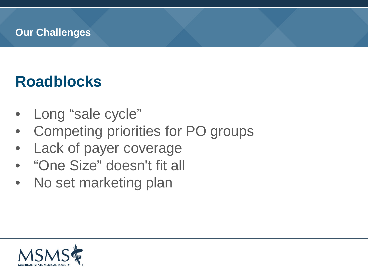#### **Our Challenges**

### **Roadblocks**

- Long "sale cycle"
- Competing priorities for PO groups
- Lack of payer coverage
- "One Size" doesn't fit all
- No set marketing plan

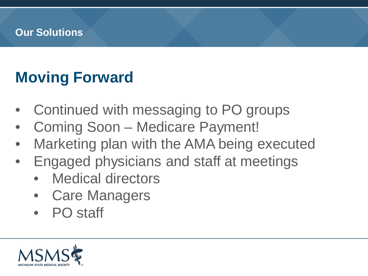#### **Our Solutions**

### **Moving Forward**

- Continued with messaging to PO groups
- Coming Soon Medicare Payment!
- Marketing plan with the AMA being executed
- Engaged physicians and staff at meetings
	- Medical directors
	- Care Managers
	- PO staff